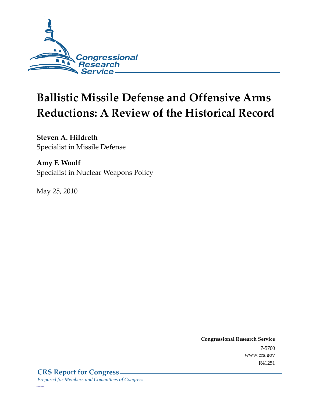

# **Ballistic Missile Defense and Offensive Arms Reductions: A Review of the Historical Record**

**Steven A. Hildreth**  Specialist in Missile Defense

**Amy F. Woolf**  Specialist in Nuclear Weapons Policy

May 25, 2010

**Congressional Research Service** 7-5700 www.crs.gov R41251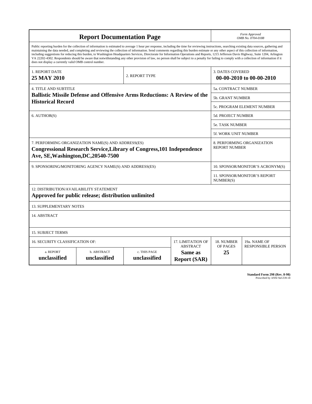| <b>Report Documentation Page</b>                                                                                                                                                                                                                                                                                                                                                                                                                                                                                                                                                                                                                                                                                                                                                                                                                                   |                             |                              |                                                   |                                                     | Form Approved<br>OMB No. 0704-0188                 |  |  |
|--------------------------------------------------------------------------------------------------------------------------------------------------------------------------------------------------------------------------------------------------------------------------------------------------------------------------------------------------------------------------------------------------------------------------------------------------------------------------------------------------------------------------------------------------------------------------------------------------------------------------------------------------------------------------------------------------------------------------------------------------------------------------------------------------------------------------------------------------------------------|-----------------------------|------------------------------|---------------------------------------------------|-----------------------------------------------------|----------------------------------------------------|--|--|
| Public reporting burden for the collection of information is estimated to average 1 hour per response, including the time for reviewing instructions, searching existing data sources, gathering and<br>maintaining the data needed, and completing and reviewing the collection of information. Send comments regarding this burden estimate or any other aspect of this collection of information,<br>including suggestions for reducing this burden, to Washington Headquarters Services, Directorate for Information Operations and Reports, 1215 Jefferson Davis Highway, Suite 1204, Arlington<br>VA 22202-4302. Respondents should be aware that notwithstanding any other provision of law, no person shall be subject to a penalty for failing to comply with a collection of information if it<br>does not display a currently valid OMB control number. |                             |                              |                                                   |                                                     |                                                    |  |  |
| 1. REPORT DATE<br>25 MAY 2010                                                                                                                                                                                                                                                                                                                                                                                                                                                                                                                                                                                                                                                                                                                                                                                                                                      |                             | 2. REPORT TYPE               |                                                   | <b>3. DATES COVERED</b><br>00-00-2010 to 00-00-2010 |                                                    |  |  |
| <b>4. TITLE AND SUBTITLE</b>                                                                                                                                                                                                                                                                                                                                                                                                                                                                                                                                                                                                                                                                                                                                                                                                                                       |                             |                              |                                                   |                                                     | <b>5a. CONTRACT NUMBER</b>                         |  |  |
| <b>Ballistic Missile Defense and Offensive Arms Reductions: A Review of the</b>                                                                                                                                                                                                                                                                                                                                                                                                                                                                                                                                                                                                                                                                                                                                                                                    |                             |                              |                                                   |                                                     | 5b. GRANT NUMBER                                   |  |  |
| <b>Historical Record</b>                                                                                                                                                                                                                                                                                                                                                                                                                                                                                                                                                                                                                                                                                                                                                                                                                                           |                             |                              |                                                   | 5c. PROGRAM ELEMENT NUMBER                          |                                                    |  |  |
| 6. AUTHOR(S)                                                                                                                                                                                                                                                                                                                                                                                                                                                                                                                                                                                                                                                                                                                                                                                                                                                       |                             |                              |                                                   | 5d. PROJECT NUMBER                                  |                                                    |  |  |
|                                                                                                                                                                                                                                                                                                                                                                                                                                                                                                                                                                                                                                                                                                                                                                                                                                                                    |                             |                              |                                                   | <b>5e. TASK NUMBER</b>                              |                                                    |  |  |
|                                                                                                                                                                                                                                                                                                                                                                                                                                                                                                                                                                                                                                                                                                                                                                                                                                                                    |                             |                              |                                                   |                                                     | 5f. WORK UNIT NUMBER                               |  |  |
| 7. PERFORMING ORGANIZATION NAME(S) AND ADDRESS(ES)<br><b>Congressional Research Service, Library of Congress, 101 Independence</b><br>Ave, SE, Washington, DC, 20540-7500                                                                                                                                                                                                                                                                                                                                                                                                                                                                                                                                                                                                                                                                                          |                             |                              |                                                   |                                                     | 8. PERFORMING ORGANIZATION<br><b>REPORT NUMBER</b> |  |  |
| 9. SPONSORING/MONITORING AGENCY NAME(S) AND ADDRESS(ES)                                                                                                                                                                                                                                                                                                                                                                                                                                                                                                                                                                                                                                                                                                                                                                                                            |                             |                              |                                                   | 10. SPONSOR/MONITOR'S ACRONYM(S)                    |                                                    |  |  |
|                                                                                                                                                                                                                                                                                                                                                                                                                                                                                                                                                                                                                                                                                                                                                                                                                                                                    |                             |                              |                                                   |                                                     | 11. SPONSOR/MONITOR'S REPORT<br>NUMBER(S)          |  |  |
| 12. DISTRIBUTION/AVAILABILITY STATEMENT<br>Approved for public release; distribution unlimited                                                                                                                                                                                                                                                                                                                                                                                                                                                                                                                                                                                                                                                                                                                                                                     |                             |                              |                                                   |                                                     |                                                    |  |  |
| <b>13. SUPPLEMENTARY NOTES</b>                                                                                                                                                                                                                                                                                                                                                                                                                                                                                                                                                                                                                                                                                                                                                                                                                                     |                             |                              |                                                   |                                                     |                                                    |  |  |
| 14. ABSTRACT                                                                                                                                                                                                                                                                                                                                                                                                                                                                                                                                                                                                                                                                                                                                                                                                                                                       |                             |                              |                                                   |                                                     |                                                    |  |  |
| <b>15. SUBJECT TERMS</b>                                                                                                                                                                                                                                                                                                                                                                                                                                                                                                                                                                                                                                                                                                                                                                                                                                           |                             |                              |                                                   |                                                     |                                                    |  |  |
| 16. SECURITY CLASSIFICATION OF:                                                                                                                                                                                                                                                                                                                                                                                                                                                                                                                                                                                                                                                                                                                                                                                                                                    |                             |                              | 17. LIMITATION OF                                 | 18. NUMBER                                          | 19a. NAME OF                                       |  |  |
| a. REPORT<br>unclassified                                                                                                                                                                                                                                                                                                                                                                                                                                                                                                                                                                                                                                                                                                                                                                                                                                          | b. ABSTRACT<br>unclassified | c. THIS PAGE<br>unclassified | <b>ABSTRACT</b><br>Same as<br><b>Report (SAR)</b> | OF PAGES<br>25                                      | <b>RESPONSIBLE PERSON</b>                          |  |  |

**Standard Form 298 (Rev. 8-98)**<br>Prescribed by ANSI Std Z39-18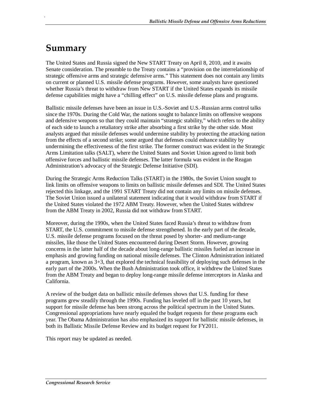## **Summary**

.

The United States and Russia signed the New START Treaty on April 8, 2010, and it awaits Senate consideration. The preamble to the Treaty contains a "provision on the interrelationship of strategic offensive arms and strategic defensive arms." This statement does not contain any limits on current or planned U.S. missile defense programs. However, some analysts have questioned whether Russia's threat to withdraw from New START if the United States expands its missile defense capabilities might have a "chilling effect" on U.S. missile defense plans and programs.

Ballistic missile defenses have been an issue in U.S.-Soviet and U.S.-Russian arms control talks since the 1970s. During the Cold War, the nations sought to balance limits on offensive weapons and defensive weapons so that they could maintain "strategic stability," which refers to the ability of each side to launch a retaliatory strike after absorbing a first strike by the other side. Most analysts argued that missile defenses would undermine stability by protecting the attacking nation from the effects of a second strike; some argued that defenses could enhance stability by undermining the effectiveness of the first strike. The former construct was evident in the Strategic Arms Limitation talks (SALT), where the United States and Soviet Union agreed to limit both offensive forces and ballistic missile defenses. The latter formula was evident in the Reagan Administration's advocacy of the Strategic Defense Initiative (SDI).

During the Strategic Arms Reduction Talks (START) in the 1980s, the Soviet Union sought to link limits on offensive weapons to limits on ballistic missile defenses and SDI. The United States rejected this linkage, and the 1991 START Treaty did not contain any limits on missile defenses. The Soviet Union issued a unilateral statement indicating that it would withdraw from START if the United States violated the 1972 ABM Treaty. However, when the United States withdrew from the ABM Treaty in 2002, Russia did not withdraw from START.

Moreover, during the 1990s, when the United States faced Russia's threat to withdraw from START, the U.S. commitment to missile defense strengthened. In the early part of the decade, U.S. missile defense programs focused on the threat posed by shorter- and medium-range missiles, like those the United States encountered during Desert Storm. However, growing concerns in the latter half of the decade about long-range ballistic missiles fueled an increase in emphasis and growing funding on national missile defenses. The Clinton Administration initiated a program, known as 3+3, that explored the technical feasibility of deploying such defenses in the early part of the 2000s. When the Bush Administration took office, it withdrew the United States from the ABM Treaty and began to deploy long-range missile defense interceptors in Alaska and California.

A review of the budget data on ballistic missile defenses shows that U.S. funding for these programs grew steadily through the 1990s. Funding has leveled off in the past 10 years, but support for missile defense has been strong across the political spectrum in the United States. Congressional appropriations have nearly equaled the budget requests for these programs each year. The Obama Administration has also emphasized its support for ballistic missile defenses, in both its Ballistic Missile Defense Review and its budget request for FY2011.

This report may be updated as needed.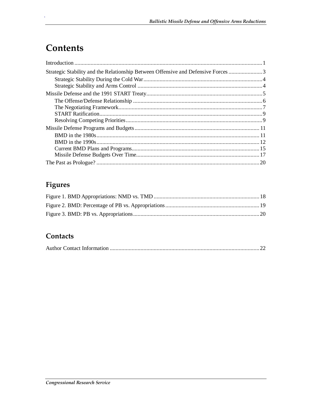## Contents

| Strategic Stability and the Relationship Between Offensive and Defensive Forces 3 |  |
|-----------------------------------------------------------------------------------|--|
|                                                                                   |  |
|                                                                                   |  |
|                                                                                   |  |
|                                                                                   |  |
|                                                                                   |  |
|                                                                                   |  |
|                                                                                   |  |
|                                                                                   |  |
|                                                                                   |  |
|                                                                                   |  |
|                                                                                   |  |
|                                                                                   |  |
|                                                                                   |  |

## Figures

### Contacts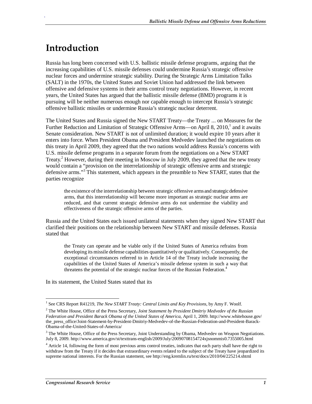## **Introduction**

.

Russia has long been concerned with U.S. ballistic missile defense programs, arguing that the increasing capabilities of U.S. missile defenses could undermine Russia's strategic offensive nuclear forces and undermine strategic stability. During the Strategic Arms Limitation Talks (SALT) in the 1970s, the United States and Soviet Union had addressed the link between offensive and defensive systems in their arms control treaty negotiations. However, in recent years, the United States has argued that the ballistic missile defense (BMD) programs it is pursuing will be neither numerous enough nor capable enough to intercept Russia's strategic offensive ballistic missiles or undermine Russia's strategic nuclear deterrent.

The United States and Russia signed the New START Treaty—the Treaty ... on Measures for the Further Reduction and Limitation of Strategic Offensive Arms—on April 8, 2010,<sup>1</sup> and it awaits Senate consideration. New START is not of unlimited duration; it would expire 10 years after it enters into force. When President Obama and President Medvedev launched the negotiations on this treaty in April 2009, they agreed that the two nations would address Russia's concerns with U.S. missile defense programs in a separate forum from the negotiations on a New START Treaty.<sup>2</sup> However, during their meeting in Moscow in July 2009, they agreed that the new treaty would contain a "provision on the interrelationship of strategic offensive arms and strategic defensive arms."<sup>3</sup> This statement, which appears in the preamble to New START, states that the parties recognize

the existence of the interrelationship between strategic offensive arms and strategic defensive arms, that this interrelationship will become more important as strategic nuclear arms are reduced, and that current strategic defensive arms do not undermine the viability and effectiveness of the strategic offensive arms of the parties.

Russia and the United States each issued unilateral statements when they signed New START that clarified their positions on the relationship between New START and missile defenses. Russia stated that

the Treaty can operate and be viable only if the United States of America refrains from developing its missile defense capabilities quantitatively or qualitatively. Consequently, the exceptional circumstances referred to in Article 14 of the Treaty include increasing the capabilities of the United States of America's missile defense system in such a way that threatens the potential of the strategic nuclear forces of the Russian Federation.<sup>4</sup>

In its statement, the United States stated that its

 1 See CRS Report R41219, *The New START Treaty: Central Limits and Key Provisions*, by Amy F. Woolf.

<sup>2</sup> The White House, Office of the Press Secretary, *Joint Statement by President Dmitriy Medvedev of the Russian Federation and President Barack Obama of the United States of America*, April 1, 2009. http://www.whitehouse.gov/ the\_press\_office/Joint-Statement-by-President-Dmitriy-Medvedev-of-the-Russian-Federation-and-President-Barack-Obama-of-the-United-States-of-America/

<sup>&</sup>lt;sup>3</sup> The White House, Office of the Press Secretary, Joint Understanding by Obama, Medvedev on Weapon Negotiations. July 8, 2009. http://www.america.gov/st/texttrans-english/2009/July/20090708154724xjsnommis0.7355005.html

<sup>&</sup>lt;sup>4</sup> Article 14, following the form of most previous arms control treaties, indicates that each party shall have the right to withdraw from the Treaty if it decides that extraordinary events related to the subject of the Treaty have jeopardized its supreme national interests. For the Russian statement, see http://eng.kremlin.ru/text/docs/2010/04/225214.shtml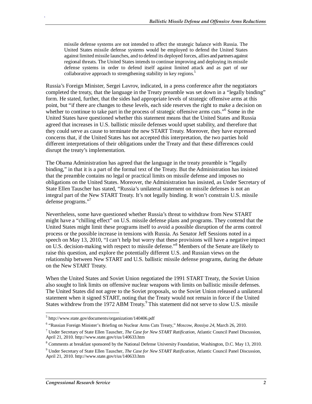missile defense systems are not intended to affect the strategic balance with Russia. The United States missile defense systems would be employed to defend the United States against limited missile launches, and to defend its deployed forces, allies and partners against regional threats. The United States intends to continue improving and deploying its missile defense systems in order to defend itself against limited attack and as part of our collaborative approach to strengthening stability in key regions.<sup>5</sup>

Russia's Foreign Minister, Sergei Lavrov, indicated, in a press conference after the negotiators completed the treaty, that the language in the Treaty preamble was set down in a "legally binding" form. He stated, further, that the sides had appropriate levels of strategic offensive arms at this point, but "if there are changes to these levels, each side reserves the right to make a decision on whether to continue to take part in the process of strategic offensive arms cuts."<sup>6</sup> Some in the United States have questioned whether this statement means that the United States and Russia agreed that increases in U.S. ballistic missile defenses would upset stability, and therefore that they could serve as cause to terminate the new START Treaty. Moreover, they have expressed concerns that, if the United States has not accepted this interpretation, the two parties hold different interpretations of their obligations under the Treaty and that these differences could disrupt the treaty's implementation.

The Obama Administration has agreed that the language in the treaty preamble is "legally binding," in that it is a part of the formal text of the Treaty. But the Administration has insisted that the preamble contains no legal or practical limits on missile defense and imposes no obligations on the United States. Moreover, the Administration has insisted, as Under Secretary of State Ellen Tauscher has stated, "Russia's unilateral statement on missile defenses is not an integral part of the New START Treaty. It's not legally binding. It won't constrain U.S. missile defense programs."<sup>7</sup>

Nevertheless, some have questioned whether Russia's threat to withdraw from New START might have a "chilling effect" on U.S. missile defense plans and programs. They contend that the United States might limit these programs itself to avoid a possible disruption of the arms control process or the possible increase in tensions with Russia. As Senator Jeff Sessions noted in a speech on May 13, 2010, "I can't help but worry that these provisions will have a negative impact on U.S. decision-making with respect to missile defense."<sup>8</sup> Members of the Senate are likely to raise this question, and explore the potentially different U.S. and Russian views on the relationship between New START and U.S. ballistic missile defense programs, during the debate on the New START Treaty.

When the United States and Soviet Union negotiated the 1991 START Treaty, the Soviet Union also sought to link limits on offensive nuclear weapons with limits on ballistic missile defenses. The United States did not agree to the Soviet proposals, so the Soviet Union released a unilateral statement when it signed START, noting that the Treaty would not remain in force if the United States withdrew from the 1972 ABM Treaty.<sup>9</sup> This statement did not serve to slow U.S. missile

 $\overline{a}$ 

<sup>5</sup> http://www.state.gov/documents/organization/140406.pdf

<sup>6</sup> "Russian Foreign Minister's Briefing on Nuclear Arms Cuts Treaty," *Moscow, Rossiya 24*, March 26, 2010.

<sup>7</sup> Under Secretary of State Ellen Tauscher, *The Case for New START Ratification*, Atlantic Council Panel Discussion, April 21, 2010. http://www.state.gov/t/us/140633.htm

<sup>&</sup>lt;sup>8</sup> Comments at breakfast sponsored by the National Defense University Foundation, Washington, D.C. May 13, 2010.

<sup>9</sup> Under Secretary of State Ellen Tauscher, *The Case for New START Ratification*, Atlantic Council Panel Discussion, April 21, 2010. http://www.state.gov/t/us/140633.htm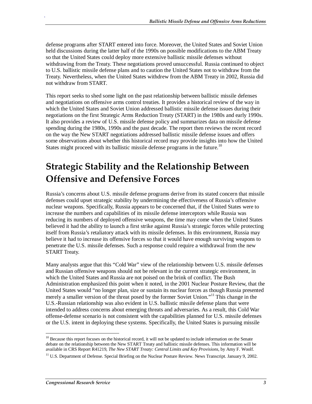defense programs after START entered into force. Moreover, the United States and Soviet Union held discussions during the latter half of the 1990s on possible modifications to the ABM Treaty so that the United States could deploy more extensive ballistic missile defenses without withdrawing from the Treaty. These negotiations proved unsuccessful. Russia continued to object to U.S. ballistic missile defense plans and to caution the United States not to withdraw from the Treaty. Nevertheless, when the United States withdrew from the ABM Treaty in 2002, Russia did not withdraw from START.

This report seeks to shed some light on the past relationship between ballistic missile defenses and negotiations on offensive arms control treaties. It provides a historical review of the way in which the United States and Soviet Union addressed ballistic missile defense issues during their negotiations on the first Strategic Arms Reduction Treaty (START) in the 1980s and early 1990s. It also provides a review of U.S. missile defense policy and summarizes data on missile defense spending during the 1980s, 1990s and the past decade. The report then reviews the recent record on the way the New START negotiations addressed ballistic missile defense issues and offers some observations about whether this historical record may provide insights into how the United States might proceed with its ballistic missile defense programs in the future.<sup>10</sup>

## **Strategic Stability and the Relationship Between Offensive and Defensive Forces**

Russia's concerns about U.S. missile defense programs derive from its stated concern that missile defenses could upset strategic stability by undermining the effectiveness of Russia's offensive nuclear weapons. Specifically, Russia appears to be concerned that, if the United States were to increase the numbers and capabilities of its missile defense interceptors while Russia was reducing its numbers of deployed offensive weapons, the time may come when the United States believed it had the ability to launch a first strike against Russia's strategic forces while protecting itself from Russia's retaliatory attack with its missile defenses. In this environment, Russia may believe it had to increase its offensive forces so that it would have enough surviving weapons to penetrate the U.S. missile defenses. Such a response could require a withdrawal from the new START Treaty.

Many analysts argue that this "Cold War" view of the relationship between U.S. missile defenses and Russian offensive weapons should not be relevant in the current strategic environment, in which the United States and Russia are not poised on the brink of conflict. The Bush Administration emphasized this point when it noted, in the 2001 Nuclear Posture Review, that the United States would "no longer plan, size or sustain its nuclear forces as though Russia presented merely a smaller version of the threat posed by the former Soviet Union."11 This change in the U.S.-Russian relationship was also evident in U.S. ballistic missile defense plans that were intended to address concerns about emerging threats and adversaries. As a result, this Cold War offense-defense scenario is not consistent with the capabilities planned for U.S. missile defenses or the U.S. intent in deploying these systems. Specifically, the United States is pursuing missile

<sup>-</sup><sup>10</sup> Because this report focuses on the historical record, it will not be updated to include information on the Senate debate on the relationship between the New START Treaty and ballistic missile defenses. This information will be available in CRS Report R41219, *The New START Treaty: Central Limits and Key Provisions*, by Amy F. Woolf.

<sup>&</sup>lt;sup>11</sup> U.S. Department of Defense. Special Briefing on the Nuclear Posture Review. News Transcript. January 9, 2002.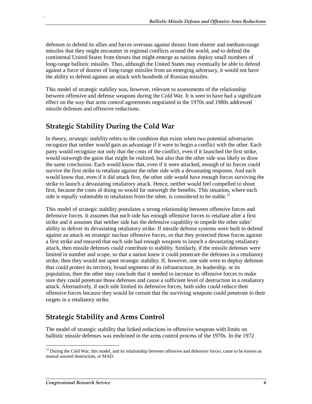defenses to defend its allies and forces overseas against threats from shorter and medium-range missiles that they might encounter in regional conflicts around the world, and to defend the continental United States from threats that might emerge as nations deploy small numbers of long-range ballistic missiles. Thus, although the United States may eventually be able to defend against a force of dozens of long-range missiles from an emerging adversary, it would not have the ability to defend against an attack with hundreds of Russian missiles.

This model of strategic stability was, however, relevant to assessments of the relationship between offensive and defense weapons during the Cold War. It is seen to have had a significant effect on the way that arms control agreements negotiated in the 1970s and 1980s addressed missile defenses and offensive reductions.

## **Strategic Stability During the Cold War**

.

In theory, *strategic stability* refers to the condition that exists when two potential adversaries recognize that neither would gain an advantage if it were to begin a conflict with the other. Each party would recognize not only that the costs of the conflict, even if it launched the first strike, would outweigh the gains that might be realized, but also that the other side was likely to draw the same conclusion. Each would know that, even if it were attacked, enough of its forces could survive the first strike to retaliate against the other side with a devastating response. And each would know that, even if it did attack first, the other side would have enough forces surviving the strike to launch a devastating retaliatory attack. Hence, neither would feel compelled to shoot first, because the costs of doing so would far outweigh the benefits. This situation, where each side is equally vulnerable to retaliation from the other, is considered to be stable.<sup>12</sup>

This model of strategic stability postulates a strong relationship between offensive forces and defensive forces. It assumes that each side has enough offensive forces to retaliate after a first strike and it assumes that neither side has the defensive capability to impede the other sides' ability to deliver its devastating retaliatory strike. If missile defense systems were built to defend against an attack on strategic nuclear offensive forces, so that they protected those forces against a first strike and ensured that each side had enough weapons to launch a devastating retaliatory attack, then missile defenses could contribute to stability. Similarly, if the missile defenses were limited in number and scope, so that a nation knew it could penetrate the defenses in a retaliatory strike, then they would not upset strategic stability. If, however, one side were to deploy defenses that could protect its territory, broad segments of its infrastructure, its leadership, or its population, then the other may conclude that it needed to increase its offensive forces to make sure they could penetrate those defenses and cause a sufficient level of destruction in a retaliatory attack. Alternatively, if each side limited its defensive forces, both sides could reduce their offensive forces because they would be certain that the surviving weapons could penetrate to their targets in a retaliatory strike.

## **Strategic Stability and Arms Control**

The model of strategic stability that linked reductions in offensive weapons with limits on ballistic missile defenses was enshrined in the arms control process of the 1970s. In the 1972

<sup>-</sup> $12$  During the Cold War, this model, and its relationship between offensive and defensive forces, came to be known as mutual assured destruction, or MAD.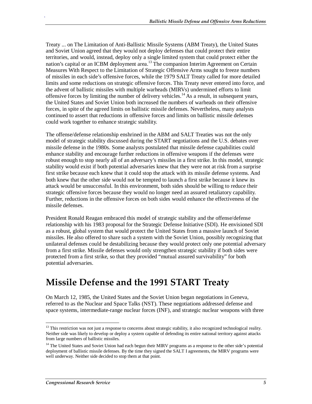Treaty ... on The Limitation of Anti-Ballistic Missile Systems (ABM Treaty), the United States and Soviet Union agreed that they would not deploy defenses that could protect their entire territories, and would, instead, deploy only a single limited system that could protect either the nation's capital or an ICBM deployment area.<sup>13</sup> The companion Interim Agreement on Certain Measures With Respect to the Limitation of Strategic Offensive Arms sought to freeze numbers of missiles in each side's offensive forces, while the 1979 SALT Treaty called for more detailed limits and some reductions on strategic offensive forces. This Treaty never entered into force, and the advent of ballistic missiles with multiple warheads (MIRVs) undermined efforts to limit offensive forces by limiting the number of delivery vehicles.<sup>14</sup> As a result, in subsequent years, the United States and Soviet Union both increased the numbers of warheads on their offensive forces, in spite of the agreed limits on ballistic missile defenses. Nevertheless, many analysts continued to assert that reductions in offensive forces and limits on ballistic missile defenses could work together to enhance strategic stability.

The offense/defense relationship enshrined in the ABM and SALT Treaties was not the only model of strategic stability discussed during the START negotiations and the U.S. debates over missile defense in the 1980s. Some analysts postulated that missile defense capabilities could enhance stability and encourage further reductions in offensive weapons if the defenses were robust enough to stop nearly all of an adversary's missiles in a first strike. In this model, strategic stability would exist if both potential adversaries knew that they were not at risk from a surprise first strike because each knew that it could stop the attack with its missile defense systems. And both knew that the other side would not be tempted to launch a first strike because it knew its attack would be unsuccessful. In this environment, both sides should be willing to reduce their strategic offensive forces because they would no longer need an assured retaliatory capability. Further, reductions in the offensive forces on both sides would enhance the effectiveness of the missile defenses.

President Ronald Reagan embraced this model of strategic stability and the offense/defense relationship with his 1983 proposal for the Strategic Defense Initiative (SDI). He envisioned SDI as a robust, global system that would protect the United States from a massive launch of Soviet missiles. He also offered to share such a system with the Soviet Union, possibly recognizing that unilateral defenses could be destabilizing because they would protect only one potential adversary from a first strike. Missile defenses would only strengthen strategic stability if both sides were protected from a first strike, so that they provided "mutual assured survivability" for both potential adversaries.

## **Missile Defense and the 1991 START Treaty**

On March 12, 1985, the United States and the Soviet Union began negotiations in Geneva, referred to as the Nuclear and Space Talks (NST). These negotiations addressed defense and space systems, intermediate-range nuclear forces (INF), and strategic nuclear weapons with three

<sup>-</sup><sup>13</sup> This restriction was not just a response to concerns about strategic stability, it also recognized technological reality. Neither side was likely to develop or deploy a system capable of defending its entire national territory against attacks from large numbers of ballistic missiles.

<sup>&</sup>lt;sup>14</sup> The United States and Soviet Union had each begun their MIRV programs as a response to the other side's potential deployment of ballistic missile defenses. By the time they signed the SALT I agreements, the MIRV programs were well underway. Neither side decided to stop them at that point.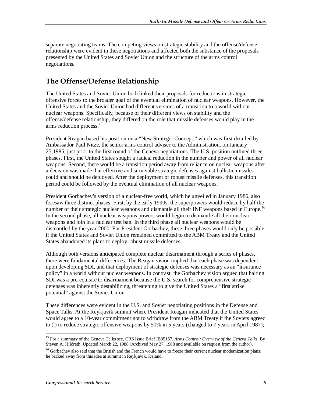separate negotiating teams. The competing views on strategic stability and the offense/defense relationship were evident in these negotiations and affected both the substance of the proposals presented by the United States and Soviet Union and the structure of the arms control negotiations.

## **The Offense/Defense Relationship**

.

The United States and Soviet Union both linked their proposals for reductions in strategic offensive forces to the broader goal of the eventual elimination of nuclear weapons. However, the United States and the Soviet Union had different versions of a transition to a world without nuclear weapons. Specifically, because of their different views on stability and the offense/defense relationship, they differed on the role that missile defenses would play in the arms reduction process.<sup>15</sup>

President Reagan based his position on a "New Strategic Concept," which was first detailed by Ambassador Paul Nitze, the senior arms control adviser to the Administration, on January 25,1985, just prior to the first round of the Geneva negotiations. The U.S. position outlined three phases. First, the United States sought a radical reduction in the number and power of all nuclear weapons. Second, there would be a transition period away from reliance on nuclear weapons after a decision was made that effective and survivable strategic defenses against ballistic missiles could and should be deployed. After the deployment of robust missile defenses, this transition period could be followed by the eventual elimination of all nuclear weapons.

President Gorbachev's version of a nuclear-free world, which he unveiled in January 1986, also foresaw three distinct phases. First, by the early 1990s, the superpowers would reduce by half the number of their strategic nuclear weapons and dismantle all their INF weapons based in Europe.<sup>16</sup> In the second phase, all nuclear weapons powers would begin to dismantle all their nuclear weapons and join in a nuclear test ban. In the third phase all nuclear weapons would be dismantled by the year 2000. For President Gorbachev, these three phases would only be possible if the United States and Soviet Union remained committed to the ABM Treaty and the United States abandoned its plans to deploy robust missile defenses.

Although both versions anticipated complete nuclear disarmament through a series of phases, there were fundamental differences. The Reagan vision implied that each phase was dependent upon developing SDI, and that deployment of strategic defenses was necessary as an "insurance policy" in a world without nuclear weapons. In contrast, the Gorbachev vision argued that halting SDI was a prerequisite to disarmament because the U.S. search for comprehensive strategic defenses was inherently destabilizing, threatening to give the United States a "first strike potential" against the Soviet Union.

These differences were evident in the U.S. and Soviet negotiating positions in the Defense and Space Talks. At the Reykjavík summit where President Reagan indicated that the United States would agree to a 10-year commitment not to withdraw from the ABM Treaty if the Soviets agreed to (l) to reduce strategic offensive weapons by 50% in 5 years (changed to 7 years in April 1987);

<sup>-</sup>15 For a summary of the Geneva Talks see, CRS Issue Brief IB85157, *Arms Control: Overview of the Geneva Talks*. By Steven A. Hildreth. Updated March 22, 1988 (Archived May 27, 1988 and available on request from the author).

<sup>&</sup>lt;sup>16</sup> Gorbachev also said that the British and the French would have to freeze their current nuclear modernization plans; he backed away from this idea at summit in Reykjavík, Iceland.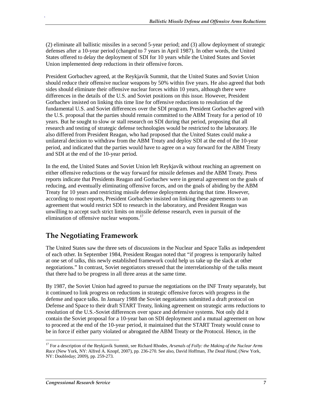(2) eliminate all ballistic missiles in a second 5-year period; and (3) allow deployment of strategic defenses after a 10-year period (changed to 7 years in April 1987). In other words, the United States offered to delay the deployment of SDI for 10 years while the United States and Soviet Union implemented deep reductions in their offensive forces.

President Gorbachev agreed, at the Reykjavík Summit, that the United States and Soviet Union should reduce their offensive nuclear weapons by 50% within five years. He also agreed that both sides should eliminate their offensive nuclear forces within 10 years, although there were differences in the details of the U.S. and Soviet positions on this issue. However, President Gorbachev insisted on linking this time line for offensive reductions to resolution of the fundamental U.S. and Soviet differences over the SDI program. President Gorbachev agreed with the U.S. proposal that the parties should remain committed to the ABM Treaty for a period of 10 years. But he sought to slow or stall research on SDI during that period, proposing that all research and testing of strategic defense technologies would be restricted to the laboratory. He also differed from President Reagan, who had proposed that the United States could make a unilateral decision to withdraw from the ABM Treaty and deploy SDI at the end of the 10-year period, and indicated that the parties would have to agree on a way forward for the ABM Treaty and SDI at the end of the 10-year period.

In the end, the United States and Soviet Union left Reykjavík without reaching an agreement on either offensive reductions or the way forward for missile defenses and the ABM Treaty. Press reports indicate that Presidents Reagan and Gorbachev were in general agreement on the goals of reducing, and eventually eliminating offensive forces, and on the goals of abiding by the ABM Treaty for 10 years and restricting missile defense deployments during that time. However, according to most reports, President Gorbachev insisted on linking these agreements to an agreement that would restrict SDI to research in the laboratory, and President Reagan was unwilling to accept such strict limits on missile defense research, even in pursuit of the elimination of offensive nuclear weapons.<sup>17</sup>

## **The Negotiating Framework**

.

The United States saw the three sets of discussions in the Nuclear and Space Talks as independent of each other. In September 1984, President Reagan noted that "if progress is temporarily halted at one set of talks, this newly established framework could help us take up the slack at other negotiations." In contrast, Soviet negotiators stressed that the interrelationship of the talks meant that there had to be progress in all three areas at the same time.

By 1987, the Soviet Union had agreed to pursue the negotiations on the INF Treaty separately, but it continued to link progress on reductions in strategic offensive forces with progress in the defense and space talks. In January 1988 the Soviet negotiators submitted a draft protocol on Defense and Space to their draft START Treaty, linking agreement on strategic arms reductions to resolution of the U.S.-Soviet differences over space and defensive systems. Not only did it contain the Soviet proposal for a 10-year ban on SDI deployment and a mutual agreement on how to proceed at the end of the 10-year period, it maintained that the START Treaty would cease to be in force if either party violated or abrogated the ABM Treaty or the Protocol. Hence, in the

<sup>-</sup><sup>17</sup> For a description of the Reykjavík Summit, see Richard Rhodes, *Arsenals of Folly: the Making of the Nuclear Arms Race* (New York, NY: Alfred A. Knopf, 2007), pp. 236-270. See also, David Hoffman, *The Dead Hand,* (New York, NY: Doubleday; 2009), pp. 259-273.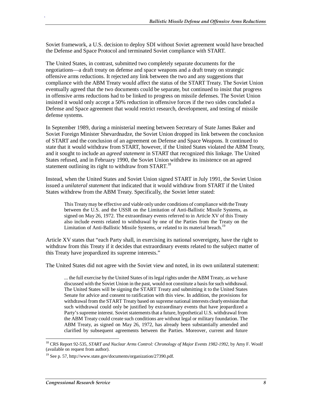Soviet framework, a U.S. decision to deploy SDI without Soviet agreement would have breached the Defense and Space Protocol and terminated Soviet compliance with START.

The United States, in contrast, submitted two completely separate documents for the negotiations—a draft treaty on defense and space weapons and a draft treaty on strategic offensive arms reductions. It rejected any link between the two and any suggestions that compliance with the ABM Treaty would affect the status of the START Treaty. The Soviet Union eventually agreed that the two documents could be separate, but continued to insist that progress in offensive arms reductions had to be linked to progress on missile defenses. The Soviet Union insisted it would only accept a 50% reduction in offensive forces if the two sides concluded a Defense and Space agreement that would restrict research, development, and testing of missile defense systems.

In September 1989, during a ministerial meeting between Secretary of State James Baker and Soviet Foreign Minister Shevardnadze, the Soviet Union dropped its link between the conclusion of START and the conclusion of an agreement on Defense and Space Weapons. It continued to state that it would withdraw from START, however, if the United States violated the ABM Treaty, and it sought to include an *agreed statement* in START that recognized this linkage. The United States refused, and in February 1990, the Soviet Union withdrew its insistence on an agreed statement outlining its right to withdraw from START.<sup>18</sup>

Instead, when the United States and Soviet Union signed START in July 1991, the Soviet Union issued a *unilateral statement* that indicated that it would withdraw from START if the United States withdrew from the ABM Treaty. Specifically, the Soviet letter stated:

This Treaty may be effective and viable only under conditions of compliance with the Treaty between the U.S. and the USSR on the Limitation of Anti-Ballistic Missile Systems, as signed on May 26, 1972. The extraordinary events referred to in Article XV of this Treaty also include events related to withdrawal by one of the Parties from the Treaty on the Limitation of Anti-Ballistic Missile Systems, or related to its material breach.<sup>19</sup>

Article XV states that "each Party shall, in exercising its national sovereignty, have the right to withdraw from this Treaty if it decides that extraordinary events related to the subject matter of this Treaty have jeopardized its supreme interests."

The United States did not agree with the Soviet view and noted, in its own unilateral statement:

... the full exercise by the United States of its legal rights under the ABM Treaty, as we have discussed with the Soviet Union in the past, would not constitute a basis for such withdrawal. The United States will be signing the START Treaty and submitting it to the United States Senate for advice and consent to ratification with this view. In addition, the provisions for withdrawal from the START Treaty based on supreme national interests clearly envision that such withdrawal could only be justified by extraordinary events that have jeopardized a Party's supreme interest. Soviet statements that a future, hypothetical U.S. withdrawal from the ABM Treaty could create such conditions are without legal or military foundation. The ABM Treaty, as signed on May 26, 1972, has already been substantially amended and clarified by subsequent agreements between the Parties. Moreover, current and future

-

<sup>&</sup>lt;sup>18</sup> CRS Report 92-535, *START and Nuclear Arms Control: Chronology of Major Events 1982-1992*, by Amy F. Woolf (available on request from author).

 $19$  See p. 57, http://www.state.gov/documents/organization/27390.pdf.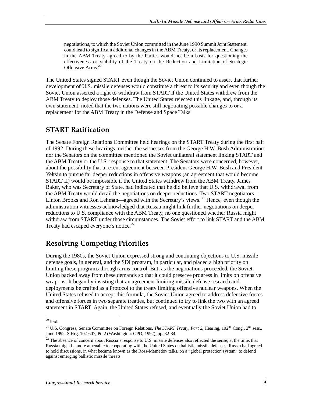negotiations, to which the Soviet Union committed in the June 1990 Summit Joint Statement, could lead to significant additional changes in the ABM Treaty, or its replacement. Changes in the ABM Treaty agreed to by the Parties would not be a basis for questioning the effectiveness or viability of the Treaty on the Reduction and Limitation of Strategic Offensive Arms.<sup>20</sup>

The United States signed START even though the Soviet Union continued to assert that further development of U.S. missile defenses would constitute a threat to its security and even though the Soviet Union asserted a right to withdraw from START if the United States withdrew from the ABM Treaty to deploy those defenses. The United States rejected this linkage, and, through its own statement, noted that the two nations were still negotiating possible changes to or a replacement for the ABM Treaty in the Defense and Space Talks.

#### **START Ratification**

.

The Senate Foreign Relations Committee held hearings on the START Treaty during the first half of 1992. During these hearings, neither the witnesses from the George H.W. Bush Administration nor the Senators on the committee mentioned the Soviet unilateral statement linking START and the ABM Treaty or the U.S. response to that statement. The Senators were concerned, however, about the possibility that a recent agreement between President George H.W. Bush and President Yeltsin to pursue far deeper reductions in offensive weapons (an agreement that would become START II) would be impossible if the United States withdrew from the ABM Treaty. James Baker, who was Secretary of State, had indicated that he did believe that U.S. withdrawal from the ABM Treaty would derail the negotiations on deeper reductions. Two START negotiators— Linton Brooks and Ron Lehman—agreed with the Secretary's views.<sup>21</sup> Hence, even though the administration witnesses acknowledged that Russia might link further negotiations on deeper reductions to U.S. compliance with the ABM Treaty, no one questioned whether Russia might withdraw from START under those circumstances. The Soviet effort to link START and the ABM Treaty had escaped everyone's notice.<sup>22</sup>

#### **Resolving Competing Priorities**

During the 1980s, the Soviet Union expressed strong and continuing objections to U.S. missile defense goals, in general, and the SDI program, in particular, and placed a high priority on limiting these programs through arms control. But, as the negotiations proceeded, the Soviet Union backed away from these demands so that it could preserve progress in limits on offensive weapons. It began by insisting that an agreement limiting missile defense research and deployments be crafted as a Protocol to the treaty limiting offensive nuclear weapons. When the United States refused to accept this formula, the Soviet Union agreed to address defensive forces and offensive forces in two separate treaties, but continued to try to link the two with an agreed statement in START. Again, the United States refused, and eventually the Soviet Union had to

 $\frac{1}{2}$ 

 $20$  Ibid.

<sup>&</sup>lt;sup>21</sup> U.S. Congress, Senate Committee on Foreign Relations, *The START Treaty, Part 2*, Hearing, 102<sup>nd</sup> Cong., 2<sup>nd</sup> sess., June 1992, S.Hrg. 102-607, Pt. 2 (Washington: GPO, 1992), pp. 82-84.

 $22$  The absence of concern about Russia's response to U.S. missile defenses also reflected the sense, at the time, that Russia might be more amenable to cooperating with the United States on ballistic missile defenses. Russia had agreed to hold discussions, in what became known as the Ross-Memedov talks, on a "global protection system" to defend against emerging ballistic missile threats.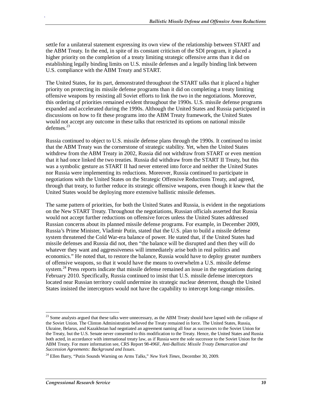settle for a unilateral statement expressing its own view of the relationship between START and the ABM Treaty. In the end, in spite of its constant criticism of the SDI program, it placed a higher priority on the completion of a treaty limiting strategic offensive arms than it did on establishing legally binding limits on U.S. missile defenses and a legally binding link between U.S. compliance with the ABM Treaty and START.

The United States, for its part, demonstrated throughout the START talks that it placed a higher priority on protecting its missile defense programs than it did on completing a treaty limiting offensive weapons by resisting all Soviet efforts to link the two in the negotiations. Moreover, this ordering of priorities remained evident throughout the 1990s. U.S. missile defense programs expanded and accelerated during the 1990s. Although the United States and Russia participated in discussions on how to fit these programs into the ABM Treaty framework, the United States would not accept any outcome in these talks that restricted its options on national missile  $defenses<sup>23</sup>$ 

Russia continued to object to U.S. missile defense plans through the 1990s. It continued to insist that the ABM Treaty was the cornerstone of strategic stability. Yet, when the United States withdrew from the ABM Treaty in 2002, Russia did not withdraw from START or even mention that it had once linked the two treaties. Russia did withdraw from the START II Treaty, but this was a symbolic gesture as START II had never entered into force and neither the United States nor Russia were implementing its reductions. Moreover, Russia continued to participate in negotiations with the United States on the Strategic Offensive Reductions Treaty, and agreed, through that treaty, to further reduce its strategic offensive weapons, even though it knew that the United States would be deploying more extensive ballistic missile defenses.

The same pattern of priorities, for both the United States and Russia, is evident in the negotiations on the New START Treaty. Throughout the negotiations, Russian officials asserted that Russia would not accept further reductions on offensive forces unless the United States addressed Russian concerns about its planned missile defense programs. For example, in December 2009, Russia's Prime Minister, Vladimir Putin, stated that the U.S. plan to build a missile defense system threatened the Cold War-era balance of power. He stated that, if the United States had missile defenses and Russia did not, then "the balance will be disrupted and then they will do whatever they want and aggressiveness will immediately arise both in real politics and economics." He noted that, to restore the balance, Russia would have to deploy greater numbers of offensive weapons, so that it would have the means to overwhelm a U.S. missile defense system.<sup>24</sup> Press reports indicate that missile defense remained an issue in the negotiations during February 2010. Specifically, Russia continued to insist that U.S. missile defense interceptors located near Russian territory could undermine its strategic nuclear deterrent, though the United States insisted the interceptors would not have the capability to intercept long-range missiles.

-

 $2<sup>23</sup>$  Some analysts argued that these talks were unnecessary, as the ABM Treaty should have lapsed with the collapse of the Soviet Union. The Clinton Administration believed the Treaty remained in force. The United States, Russia, Ukraine, Belarus, and Kazakhstan had negotiated an agreement naming all four as successors to the Soviet Union for the Treaty, but the U.S. Senate never consented to this modification to the Treaty. Hence, the United States and Russia both acted, in accordance with international treaty law, as if Russia were the sole successor to the Soviet Union for the ABM Treaty. For more information see, CRS Report 98-496F, *Anti-Ballistic Missile Treaty Demarcation and Succession Agreements: Background and Issues*.

<sup>24</sup> Ellen Barry, "Putin Sounds Warning on Arms Talks," *New York Times*, December 30, 2009.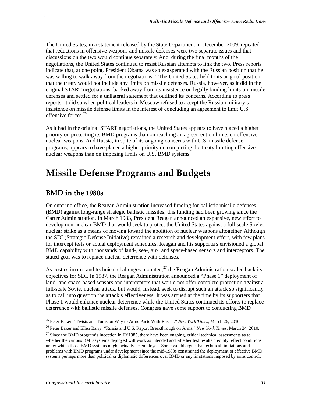The United States, in a statement released by the State Department in December 2009, repeated that reductions in offensive weapons and missile defenses were two separate issues and that discussions on the two would continue separately. And, during the final months of the negotiations, the United States continued to resist Russian attempts to link the two. Press reports indicate that, at one point, President Obama was so exasperated with the Russian position that he was willing to walk away from the negotiations.<sup>25</sup> The United States held to its original position that the treaty would not include any limits on missile defenses. Russia, however, as it did in the original START negotiations, backed away from its insistence on legally binding limits on missile defenses and settled for a unilateral statement that outlined its concerns. According to press reports, it did so when political leaders in Moscow refused to accept the Russian military's insistence on missile defense limits in the interest of concluding an agreement to limit U.S. offensive forces.<sup>26</sup>

As it had in the original START negotiations, the United States appears to have placed a higher priority on protecting its BMD programs than on reaching an agreement on limits on offensive nuclear weapons. And Russia, in spite of its ongoing concerns with U.S. missile defense programs, appears to have placed a higher priority on completing the treaty limiting offensive nuclear weapons than on imposing limits on U.S. BMD systems.

## **Missile Defense Programs and Budgets**

### **BMD in the 1980s**

.

On entering office, the Reagan Administration increased funding for ballistic missile defenses (BMD) against long-range strategic ballistic missiles; this funding had been growing since the Carter Administration. In March 1983, President Reagan announced an expansive, new effort to develop non-nuclear BMD that would seek to protect the United States against a full-scale Soviet nuclear strike as a means of moving toward the abolition of nuclear weapons altogether. Although the SDI (Strategic Defense Initiative) remained a research and development effort, with few plans for intercept tests or actual deployment schedules, Reagan and his supporters envisioned a global BMD capability with thousands of land-, sea-, air-, and space-based sensors and interceptors. The stated goal was to replace nuclear deterrence with defenses.

As cost estimates and technical challenges mounted, $^{27}$  the Reagan Administration scaled back its objectives for SDI. In 1987, the Reagan Administration announced a "Phase 1" deployment of land- and space-based sensors and interceptors that would not offer complete protection against a full-scale Soviet nuclear attack, but would, instead, seek to disrupt such an attack so significantly as to call into question the attack's effectiveness. It was argued at the time by its supporters that Phase 1 would enhance nuclear deterrence while the United States continued its efforts to replace deterrence with ballistic missile defenses. Congress gave some support to conducting BMD

 $\frac{1}{2}$ 25 Peter Baker, "Twists and Turns on Way to Arms Pacts With Russia," *New York Times*, March 26, 2010.

<sup>26</sup> Peter Baker and Ellen Barry, "Russia and U.S. Report Breakthrough on Arms," *New York Times*, March 24, 2010.

<sup>&</sup>lt;sup>27</sup> Since the BMD program's inception in FY1985, there have been ongoing, critical technical assessments as to whether the various BMD systems deployed will work as intended and whether test results credibly reflect conditions under which those BMD systems might actually be employed. Some would argue that technical limitations and problems with BMD programs under development since the mid-1980s constrained the deployment of effective BMD systems perhaps more than political or diplomatic differences over BMD or any limitations imposed by arms control.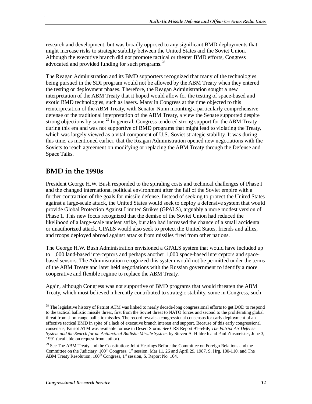research and development, but was broadly opposed to any significant BMD deployments that might increase risks to strategic stability between the United States and the Soviet Union. Although the executive branch did not promote tactical or theater BMD efforts, Congress advocated and provided funding for such programs.<sup>28</sup>

The Reagan Administration and its BMD supporters recognized that many of the technologies being pursued in the SDI program would not be allowed by the ABM Treaty when they entered the testing or deployment phases. Therefore, the Reagan Administration sought a new interpretation of the ABM Treaty that it hoped would allow for the testing of space-based and exotic BMD technologies, such as lasers. Many in Congress at the time objected to this reinterpretation of the ABM Treaty, with Senator Nunn mounting a particularly comprehensive defense of the traditional interpretation of the ABM Treaty, a view the Senate supported despite strong objections by some.<sup>29</sup> In general, Congress tendered strong support for the ABM Treaty during this era and was not supportive of BMD programs that might lead to violating the Treaty, which was largely viewed as a vital component of U.S.-Soviet strategic stability. It was during this time, as mentioned earlier, that the Reagan Administration opened new negotiations with the Soviets to reach agreement on modifying or replacing the ABM Treaty through the Defense and Space Talks.

#### **BMD in the 1990s**

President George H.W. Bush responded to the spiraling costs and technical challenges of Phase I and the changed international political environment after the fall of the Soviet empire with a further contraction of the goals for missile defense. Instead of seeking to protect the United States against a large-scale attack, the United States would seek to deploy a defensive system that would provide Global Protection Against Limited Strikes (GPALS), arguably a more modest version of Phase 1. This new focus recognized that the demise of the Soviet Union had reduced the likelihood of a large-scale nuclear strike, but also had increased the chance of a small accidental or unauthorized attack. GPALS would also seek to protect the United States, friends and allies, and troops deployed abroad against attacks from missiles fired from other nations.

The George H.W. Bush Administration envisioned a GPALS system that would have included up to 1,000 land-based interceptors and perhaps another 1,000 space-based interceptors and spacebased sensors. The Administration recognized this system would not be permitted under the terms of the ABM Treaty and later held negotiations with the Russian government to identify a more cooperative and flexible regime to replace the ABM Treaty.

Again, although Congress was not supportive of BMD programs that would threaten the ABM Treaty, which most believed inherently contributed to strategic stability, some in Congress, such

-

<sup>&</sup>lt;sup>28</sup> The legislative history of Patriot ATM was linked to nearly decade-long congressional efforts to get DOD to respond to the tactical ballistic missile threat, first from the Soviet threat to NATO forces and second to the proliferating global threat from short-range ballistic missiles. The record reveals a congressional consensus for early deployment of an effective tactical BMD in spite of a lack of executive branch interest and support. Because of this early congressional consensus, Patriot ATM was available for use in Desert Storm. See CRS Report 91-546F, *The Patriot Air Defense System and the Search for an Antitactical Ballistic Missile System*, by Steven A. Hildreth and Paul Zinsmeister, June 3, 1991 (available on request from author).

<sup>&</sup>lt;sup>29</sup> See The ABM Treaty and the Constitution: Joint Hearings Before the Committee on Foreign Relations and the Committee on the Judiciary, 100<sup>th</sup> Congress, 1<sup>st</sup> session, Mar 11, 26 and April 29, 1987. S. Hrg. 100-110, and The ABM Treaty Resolution,  $100^{th}$  Congress,  $1^{st}$  session, S. Report No. 164.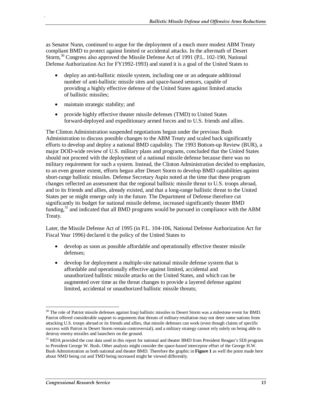as Senator Nunn, continued to argue for the deployment of a much more modest ABM Treaty compliant BMD to protect against limited or accidental attacks. In the aftermath of Desert Storm,<sup>30</sup> Congress also approved the Missile Defense Act of 1991 (P.L. 102-190, National Defense Authorization Act for FY1992-1993) and stated it is a goal of the United States to

- deploy an anti-ballistic missile system, including one or an adequate additional number of anti-ballistic missile sites and space-based sensors, capable of providing a highly effective defense of the United States against limited attacks of ballistic missiles;
- maintain strategic stability; and

.

• provide highly effective theater missile defenses (TMD) to United States forward-deployed and expeditionary armed forces and to U.S. friends and allies.

The Clinton Administration suspended negotiations begun under the previous Bush Administration to discuss possible changes to the ABM Treaty and scaled back significantly efforts to develop and deploy a national BMD capability. The 1993 Bottom-up Review (BUR), a major DOD-wide review of U.S. military plans and programs, concluded that the United States should not proceed with the deployment of a national missile defense because there was no military requirement for such a system. Instead, the Clinton Administration decided to emphasize, to an even greater extent, efforts begun after Desert Storm to develop BMD capabilities against short-range ballistic missiles. Defense Secretary Aspin noted at the time that these program changes reflected an assessment that the regional ballistic missile threat to U.S. troops abroad, and to its friends and allies, already existed, and that a long-range ballistic threat to the United States per se might emerge only in the future. The Department of Defense therefore cut significantly its budget for national missile defense, increased significantly theater BMD funding, $31$  and indicated that all BMD programs would be pursued in compliance with the ABM Treaty.

Later, the Missile Defense Act of 1995 (in P.L. 104-106, National Defense Authorization Act for Fiscal Year 1996) declared it the policy of the United States to

- develop as soon as possible affordable and operationally effective theater missile defenses;
- develop for deployment a multiple-site national missile defense system that is affordable and operationally effective against limited, accidental and unauthorized ballistic missile attacks on the United States, and which can be augmented over time as the threat changes to provide a layered defense against limited, accidental or unauthorized ballistic missile threats;

<sup>-</sup><sup>30</sup> The role of Patriot missile defenses against Iraqi ballistic missiles in Desert Storm was a milestone event for BMD. Patriot offered considerable support to arguments that threats of military retaliation may not deter some nations from attacking U.S. troops abroad or its friends and allies, that missile defenses can work (even though claims of specific success with Patriot in Desert Storm remain controversial), and a military strategy cannot rely solely on being able to destroy enemy missiles and launchers on the ground.

<sup>&</sup>lt;sup>31</sup> MDA provided the cost data used in this report for national and theater BMD from President Reagan's SDI program to President George W. Bush. Other analysts might consider the space-based interceptor effort of the George H.W. Bush Administration as both national and theater BMD. Therefore the graphic in **Figure 1** as well the point made here about NMD being cut and TMD being increased might be viewed differently.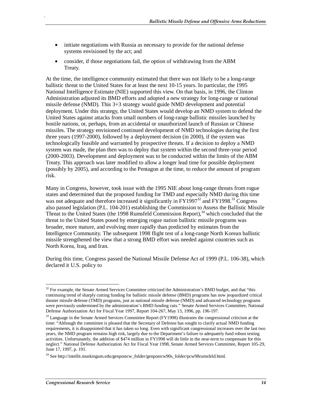- initiate negotiations with Russia as necessary to provide for the national defense systems envisioned by the act; and
- consider, if those negotiations fail, the option of withdrawing from the ABM Treaty.

At the time, the intelligence community estimated that there was not likely to be a long-range ballistic threat to the United States for at least the next 10-15 years. In particular, the 1995 National Intelligence Estimate (NIE) supported this view. On that basis, in 1996, the Clinton Administration adjusted its BMD efforts and adopted a new strategy for long-range or national missile defense (NMD). This 3+3 strategy would guide NMD development and potential deployment. Under this strategy, the United States would develop an NMD system to defend the United States against attacks from small numbers of long-range ballistic missiles launched by hostile nations, or, perhaps, from an accidental or unauthorized launch of Russian or Chinese missiles. The strategy envisioned continued development of NMD technologies during the first three years (1997-2000), followed by a deployment decision (in 2000), if the system was technologically feasible and warranted by prospective threats. If a decision to deploy a NMD system was made, the plan then was to deploy that system within the second three-year period (2000-2003). Development and deployment was to be conducted within the limits of the ABM Treaty. This approach was later modified to allow a longer lead time for possible deployment (possibly by 2005), and according to the Pentagon at the time, to reduce the amount of program risk.

Many in Congress, however, took issue with the 1995 NIE about long-range threats from rogue states and determined that the proposed funding for TMD and especially NMD during this time was not adequate and therefore increased it significantly in  $FY1997^{32}$  and  $FY1998^{33}$  Congress also passed legislation (P.L. 104-201) establishing the Commission to Assess the Ballistic Missile Threat to the United States (the 1998 Rumsfeld Commission Report),  $34$  which concluded that the threat to the United States posed by emerging rogue nation ballistic missile programs was broader, more mature, and evolving more rapidly than predicted by estimates from the Intelligence Community. The subsequent 1998 flight test of a long-range North Korean ballistic missile strengthened the view that a strong BMD effort was needed against countries such as North Korea, Iraq, and Iran.

During this time, Congress passed the National Missile Defense Act of 1999 (P.L. 106-38), which declared it U.S. policy to

-

 $32$  For example, the Senate Armed Services Committee criticized the Administration's BMD budget, and that "this continuing trend of sharply cutting funding for ballistic missile defense (BMD) programs has now jeopardized critical theater missile defense (TMD) programs, just as national missile defense (NMD) and advanced technology programs were previously undermined by the administration's BMD funding cuts." Senate Armed Services Committee, National Defense Authorization Act for Fiscal Year 1997, Report 104-267, May 13, 1996, pp. 196-197.

<sup>&</sup>lt;sup>33</sup> Language in the Senate Armed Services Committee Report (FY1998) illustrates the congressional criticism at the time: "Although the committee is pleased that the Secretary of Defense has sought to clarify actual NMD funding requirements, it is disappointed that it has taken so long. Even with significant congressional increases over the last two years, the NMD program remains high risk, largely due to the Department's failure to adequately fund robust testing activities. Unfortunately, the addition of \$474 million in FY1998 will do little in the near-term to compensate for this neglect." National Defense Authorization Act for Fiscal Year 1998, Senate Armed Services Committee, Report 105-29, June 17, 1997, p. 191.

<sup>&</sup>lt;sup>34</sup> See http://intellit.muskingum.edu/genpostcw\_folder/genpostcw90s\_folder/pcw98rumsfeld.html.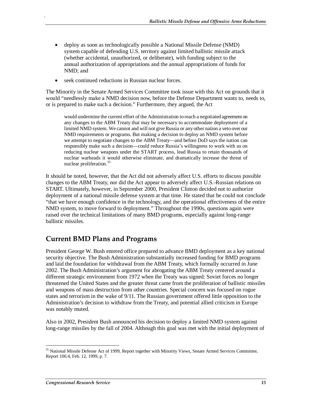- deploy as soon as technologically possible a National Missile Defense (NMD) system capable of defending U.S. territory against limited ballistic missile attack (whether accidental, unauthorized, or deliberate), with funding subject to the annual authorization of appropriations and the annual appropriations of funds for NMD; and
- seek continued reductions in Russian nuclear forces.

The Minority in the Senate Armed Services Committee took issue with this Act on grounds that it would "needlessly make a NMD decision now, before the Defense Department wants to, needs to, or is prepared to make such a decision." Furthermore, they argued, the Act

would undermine the current effort of the Administration to reach a negotiated agreement on any changes to the ABM Treaty that may be necessary to accommodate deployment of a limited NMD system. We cannot and will not give Russia or any other nation a veto over our NMD requirements or programs. But making a decision to deploy an NMD system before we attempt to negotiate changes to the ABM Treaty—and before DoD says the nation can responsibly make such a decision—could reduce Russia's willingness to work with us on reducing nuclear weapons under the START process, lead Russia to retain thousands of nuclear warheads it would otherwise eliminate, and dramatically increase the threat of nuclear proliferation.<sup>35</sup>

It should be noted, however, that the Act did not adversely affect U.S. efforts to discuss possible changes to the ABM Treaty, nor did the Act appear to adversely affect U.S.-Russian relations on START. Ultimately, however, in September 2000, President Clinton decided not to authorize deployment of a national missile defense system at that time. He stated that he could not conclude "that we have enough confidence in the technology, and the operational effectiveness of the entire NMD system, to move forward to deployment." Throughout the 1990s, questions again were raised over the technical limitations of many BMD programs, especially against long-range ballistic missiles.

#### **Current BMD Plans and Programs**

President George W. Bush entered office prepared to advance BMD deployment as a key national security objective. The Bush Administration substantially increased funding for BMD programs and laid the foundation for withdrawal from the ABM Treaty, which formally occurred in June 2002. The Bush Administration's argument for abrogating the ABM Treaty centered around a different strategic environment from 1972 when the Treaty was signed: Soviet forces no longer threatened the United States and the greater threat came from the proliferation of ballistic missiles and weapons of mass destruction from other countries. Special concern was focused on rogue states and terrorism in the wake of 9/11. The Russian government offered little opposition to the Administration's decision to withdraw from the Treaty, and potential allied criticism in Europe was notably muted.

Also in 2002, President Bush announced his decision to deploy a limited NMD system against long-range missiles by the fall of 2004. Although this goal was met with the initial deployment of

-

<sup>&</sup>lt;sup>35</sup> National Missile Defense Act of 1999, Report together with Minority Views, Senate Armed Services Committee, Report 106.4, Feb. 12, 1999, p. 7.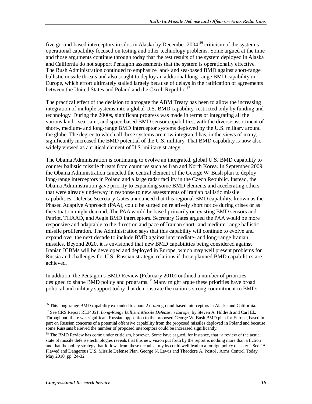five ground-based interceptors in silos in Alaska by December 2004,<sup>36</sup> criticism of the system's operational capability focused on testing and other technology problems. Some argued at the time and those arguments continue through today that the test results of the system deployed in Alaska and California do not support Pentagon assessments that the system is operationally effective. The Bush Administration continued to emphasize land- and sea-based BMD against short-range ballistic missile threats and also sought to deploy an additional long-range BMD capability in Europe, which effort ultimately stalled largely because of delays in the ratification of agreements between the United States and Poland and the Czech Republic.<sup>37</sup>

The practical effect of the decision to abrogate the ABM Treaty has been to allow the increasing integration of multiple systems into a global U.S. BMD capability, restricted only by funding and technology. During the 2000s, significant progress was made in terms of integrating all the various land-, sea-, air-, and space-based BMD sensor capabilities, with the diverse assortment of short-, medium- and long-range BMD interceptor systems deployed by the U.S. military around the globe. The degree to which all these systems are now integrated has, in the views of many, significantly increased the BMD potential of the U.S. military. That BMD capability is now also widely viewed as a critical element of U.S. military strategy.

The Obama Administration is continuing to evolve an integrated, global U.S. BMD capability to counter ballistic missile threats from countries such as Iran and North Korea. In September 2009, the Obama Administration canceled the central element of the George W. Bush plan to deploy long-range interceptors in Poland and a large radar facility in the Czech Republic. Instead, the Obama Administration gave priority to expanding some BMD elements and accelerating others that were already underway in response to new assessments of Iranian ballistic missile capabilities. Defense Secretary Gates announced that this regional BMD capability, known as the Phased Adaptive Approach (PAA), could be surged on relatively short notice during crises or as the situation might demand. The PAA would be based primarily on existing BMD sensors and Patriot, THAAD, and Aegis BMD interceptors. Secretary Gates argued the PAA would be more responsive and adaptable to the direction and pace of Iranian short- and medium-range ballistic missile proliferation. The Administration says that this capability will continue to evolve and expand over the next decade to include BMD against intermediate- and long-range Iranian missiles. Beyond 2020, it is envisioned that new BMD capabilities being considered against Iranian ICBMs will be developed and deployed in Europe, which may well present problems for Russia and challenges for U.S.-Russian strategic relations if those planned BMD capabilities are achieved.

In addition, the Pentagon's BMD Review (February 2010) outlined a number of priorities designed to shape BMD policy and programs.<sup>38</sup> Many might argue these priorities have broad political and military support today that demonstrate the nation's strong commitment to BMD:

<u>.</u>

<sup>&</sup>lt;sup>36</sup> This long-range BMD capability expanded to about 2 dozen ground-based interceptors in Alaska and California.

<sup>37</sup> See CRS Report RL34051, *Long-Range Ballistic Missile Defense in Europe*, by Steven A. Hildreth and Carl Ek. Throughout, there was significant Russian opposition to the proposed George W. Bush BMD plan for Europe, based in part on Russian concerns of a potential offensive capability from the proposed missiles deployed in Poland and because some Russians believed the number of proposed interceptors could be increased significantly.

<sup>&</sup>lt;sup>38</sup> The BMD Review has come under criticism, however. Some have argued, for instance, that "a review of the actual state of missile defense technologies reveals that this new vision put forth by the report is nothing more than a fiction and that the policy strategy that follows from these technical myths could well lead to a foreign policy disaster." See "A Flawed and Dangerous U.S. Missile Defense Plan, George N. Lewis and Theodore A. Postol , Arms Control Today, May 2010, pp. 24-32.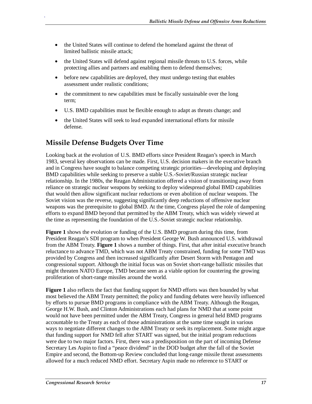- the United States will continue to defend the homeland against the threat of limited ballistic missile attack;
- the United States will defend against regional missile threats to U.S. forces, while protecting allies and partners and enabling them to defend themselves;
- before new capabilities are deployed, they must undergo testing that enables assessment under realistic conditions;
- the commitment to new capabilities must be fiscally sustainable over the long term;
- U.S. BMD capabilities must be flexible enough to adapt as threats change; and
- the United States will seek to lead expanded international efforts for missile defense.

### **Missile Defense Budgets Over Time**

.

Looking back at the evolution of U.S. BMD efforts since President Reagan's speech in March 1983, several key observations can be made. First, U.S. decision makers in the executive branch and in Congress have sought to balance competing strategic priorities—developing and deploying BMD capabilities while seeking to preserve a stable U.S.-Soviet/Russian strategic nuclear relationship. In the 1980s, the Reagan Administration offered a vision of transitioning away from reliance on strategic nuclear weapons by seeking to deploy widespread global BMD capabilities that would then allow significant nuclear reductions or even abolition of nuclear weapons. The Soviet vision was the reverse, suggesting significantly deep reductions of offensive nuclear weapons was the prerequisite to global BMD. At the time, Congress played the role of dampening efforts to expand BMD beyond that permitted by the ABM Treaty, which was widely viewed at the time as representing the foundation of the U.S.-Soviet strategic nuclear relationship.

**Figure 1** shows the evolution or funding of the U.S. BMD program during this time, from President Reagan's SDI program to when President George W. Bush announced U.S. withdrawal from the ABM Treaty. **Figure 1** shows a number of things. First, that after initial executive branch reluctance to advance TMD, which was not ABM Treaty constrained, funding for some TMD was provided by Congress and then increased significantly after Desert Storm with Pentagon and congressional support. Although the initial focus was on Soviet short-range ballistic missiles that might threaten NATO Europe, TMD became seen as a viable option for countering the growing proliferation of short-range missiles around the world.

**Figure 1** also reflects the fact that funding support for NMD efforts was then bounded by what most believed the ABM Treaty permitted; the policy and funding debates were heavily influenced by efforts to pursue BMD programs in compliance with the ABM Treaty. Although the Reagan, George H.W. Bush, and Clinton Administrations each had plans for NMD that at some point would not have been permitted under the ABM Treaty, Congress in general held BMD programs accountable to the Treaty as each of those administrations at the same time sought in various ways to negotiate different changes to the ABM Treaty or seek its replacement. Some might argue that funding support for NMD fell after START was signed, but the initial program reductions were due to two major factors. First, there was a predisposition on the part of incoming Defense Secretary Les Aspin to find a "peace dividend" in the DOD budget after the fall of the Soviet Empire and second, the Bottom-up Review concluded that long-range missile threat assessments allowed for a much reduced NMD effort. Secretary Aspin made no reference to START or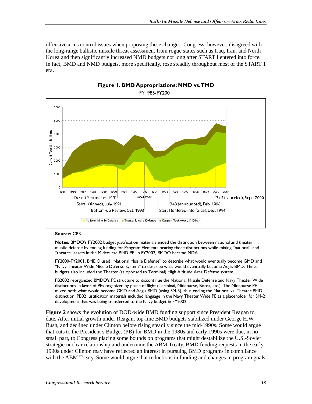offensive arms control issues when proposing these changes. Congress, however, disagreed with the long-range ballistic missile threat assessment from rogue states such as Iraq, Iran, and North Korea and then significantly increased NMD budgets not long after START I entered into force. In fact, BMD and NMD budgets, more specifically, rose steadily throughout most of the START 1 era.



#### **Figure 1. BMD Appropriations: NMD vs. TMD**  FY1985-FY2001

#### **Source:** CRS.

.

**Notes:** BMDO's FY2002 budget justification materials ended the distinction between national and theater missile defense by ending funding for Program Elements bearing those distinctions while mixing "national" and "theater" assets in the Midcourse BMD PE. In FY2002, BMDO became MDA.

FY2000-FY2001, BMDO used "National Missile Defense" to describe what would eventually become GMD and "Navy Theater Wide Missile Defense System" to describe what would eventually become Aegis BMD. These budgets also included the Theater (as opposed to Terminal) High Altitude Area Defense system.

PB2002 reorganized BMDO's PE structure to discontinue the National Missile Defense and Navy Theater Wide distinctions in favor of PEs organized by phase of flight (Terminal, Midcourse, Boost, etc.). The Midcourse PE mixed both what would become GMD and Aegis BMD (using SM-3), thus ending the National vs. Theater BMD distinction. PB02 justification materials included language in the Navy Theater Wide PE as a placeholder for SM-2 development that was being transferred to the Navy budget in FY2002.

**Figure 2** shows the evolution of DOD-wide BMD funding support since President Reagan to date. After initial growth under Reagan, top-line BMD budgets stabilized under George H.W. Bush, and declined under Clinton before rising steadily since the mid-1990s. Some would argue that cuts to the President's Budget (PB) for BMD in the 1980s and early 1990s were due, in no small part, to Congress placing some bounds on programs that might destabilize the U.S.-Soviet strategic nuclear relationship and undermine the ABM Treaty. BMD funding requests in the early 1990s under Clinton may have reflected an interest in pursuing BMD programs in compliance with the ABM Treaty. Some would argue that reductions in funding and changes in program goals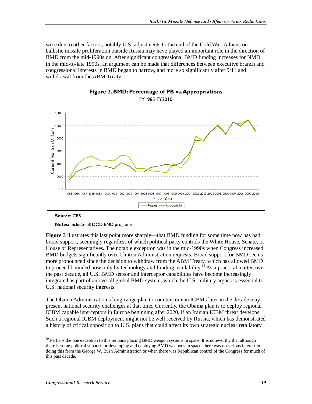were due to other factors, notably U.S. adjustments to the end of the Cold War. A focus on ballistic missile proliferation outside Russia may have played an important role in the direction of BMD from the mid-1990s on. After significant congressional BMD funding increases for NMD in the mid-to-late 1990s, an argument can be made that differences between executive branch and congressional interests in BMD began to narrow, and more so significantly after 9/11 and withdrawal from the ABM Treaty.





**Source:** CRS.

.

**Notes:** Includes all DOD BMD programs.

**Figure 3** illustrates this last point more sharply—that BMD funding for some time now has had broad support, seemingly regardless of which political party controls the White House, Senate, or House of Representatives. The notable exception was in the mid-1990s when Congress increased BMD budgets significantly over Clinton Administration requests. Broad support for BMD seems more pronounced since the decision to withdraw from the ABM Treaty, which has allowed BMD to proceed bounded now only by technology and funding availability.<sup>39</sup> As a practical matter, over the past decade, all U.S. BMD sensor and interceptor capabilities have become increasingly integrated as part of an overall global BMD system, which the U.S. military argues is essential to U.S. national security interests.

The Obama Administration's long-range plan to counter Iranian ICBMs later in the decade may present national security challenges at that time. Currently, the Obama plan is to deploy regional ICBM capable interceptors in Europe beginning after 2020, if an Iranian ICBM threat develops. Such a regional ICBM deployment might not be well received by Russia, which has demonstrated a history of critical opposition to U.S. plans that could affect its own strategic nuclear retaliatory

<sup>-</sup> $39$  Perhaps the one exception to this remains placing BMD weapon systems in space. It is noteworthy that although there is some political support for developing and deploying BMD weapons in space, there was no serious interest in doing this from the George W. Bush Administration or when there was Republican control of the Congress for much of this past decade.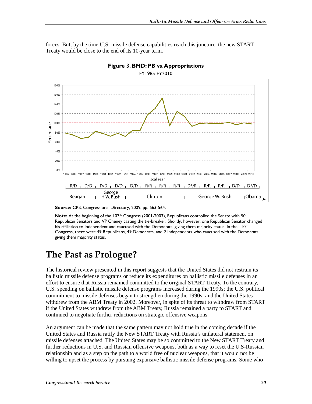forces. But, by the time U.S. missile defense capabilities reach this juncture, the new START Treaty would be close to the end of its 10-year term.





**Source:** CRS, Congressional Directory, 2009, pp. 563-564.

Note: At the beginning of the 107<sup>th</sup> Congress (2001-2003), Republicans controlled the Senate with 50 Republican Senators and VP Cheney casting the tie-breaker. Shortly, however, one Republican Senator changed his affiliation to Independent and caucused with the Democrats, giving them majority status. In the 110<sup>th</sup> Congress, there were 49 Republicans, 49 Democrats, and 2 Independents who caucused with the Democrats, giving them majority status.

## **The Past as Prologue?**

.

The historical review presented in this report suggests that the United States did not restrain its ballistic missile defense programs or reduce its expenditures on ballistic missile defenses in an effort to ensure that Russia remained committed to the original START Treaty. To the contrary, U.S. spending on ballistic missile defense programs increased during the 1990s; the U.S. political commitment to missile defenses began to strengthen during the 1990s; and the United States withdrew from the ABM Treaty in 2002. Moreover, in spite of its threat to withdraw from START if the United States withdrew from the ABM Treaty, Russia remained a party to START and continued to negotiate further reductions on strategic offensive weapons.

An argument can be made that the same pattern may not hold true in the coming decade if the United States and Russia ratify the New START Treaty with Russia's unilateral statement on missile defenses attached. The United States may be so committed to the New START Treaty and further reductions in U.S. and Russian offensive weapons, both as a way to reset the U.S-Russian relationship and as a step on the path to a world free of nuclear weapons, that it would not be willing to upset the process by pursuing expansive ballistic missile defense programs. Some who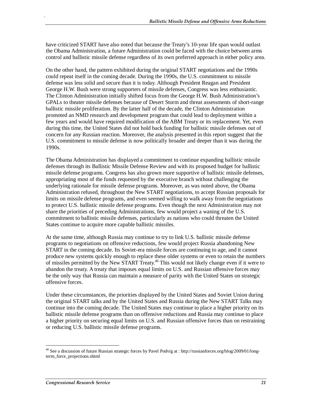have criticized START have also noted that because the Treaty's 10-year life span would outlast the Obama Administration, a future Administration could be faced with the choice between arms control and ballistic missile defense regardless of its own preferred approach in either policy area.

On the other hand, the pattern exhibited during the original START negotiations and the 1990s could repeat itself in the coming decade. During the 1990s, the U.S. commitment to missile defense was less solid and secure than it is today. Although President Reagan and President George H.W. Bush were strong supporters of missile defenses, Congress was less enthusiastic. The Clinton Administration initially shifted focus from the George H.W. Bush Administration's GPALs to theater missile defenses because of Desert Storm and threat assessments of short-range ballistic missile proliferation. By the latter half of the decade, the Clinton Administration promoted an NMD research and development program that could lead to deployment within a few years and would have required modification of the ABM Treaty or its replacement. Yet, even during this time, the United States did not hold back funding for ballistic missile defenses out of concern for any Russian reaction. Moreover, the analysis presented in this report suggest that the U.S. commitment to missile defense is now politically broader and deeper than it was during the 1990s.

The Obama Administration has displayed a commitment to continue expanding ballistic missile defenses through its Ballistic Missile Defense Review and with its proposed budget for ballistic missile defense programs. Congress has also grown more supportive of ballistic missile defenses, appropriating most of the funds requested by the executive branch without challenging the underlying rationale for missile defense programs. Moreover, as was noted above, the Obama Administration refused, throughout the New START negotiations, to accept Russian proposals for limits on missile defense programs, and even seemed willing to walk away from the negotiations to protect U.S. ballistic missile defense programs. Even though the next Administration may not share the priorities of preceding Administrations, few would project a waning of the U.S. commitment to ballistic missile defenses, particularly as nations who could threaten the United States continue to acquire more capable ballistic missiles.

At the same time, although Russia may continue to try to link U.S. ballistic missile defense programs to negotiations on offensive reductions, few would project Russia abandoning New START in the coming decade. Its Soviet-era missile forces are continuing to age, and it cannot produce new systems quickly enough to replace these older systems or even to retain the numbers of missiles permitted by the New START Treaty.<sup>40</sup> This would not likely change even if it were to abandon the treaty. A treaty that imposes equal limits on U.S. and Russian offensive forces may be the only way that Russia can maintain a measure of parity with the United States on strategic offensive forces.

Under these circumstances, the priorities displayed by the United States and Soviet Union during the original START talks and by the United States and Russia during the New START Talks may continue into the coming decade. The United States may continue to place a higher priority on its ballistic missile defense programs than on offensive reductions and Russia may continue to place a higher priority on securing equal limits on U.S. and Russian offensive forces than on restraining or reducing U.S. ballistic missile defense programs.

-

<sup>&</sup>lt;sup>40</sup> See a discussion of future Russian strategic forces by Pavel Podvig at : http://russianforces.org/blog/2009/01/longterm\_force\_projections.shtml